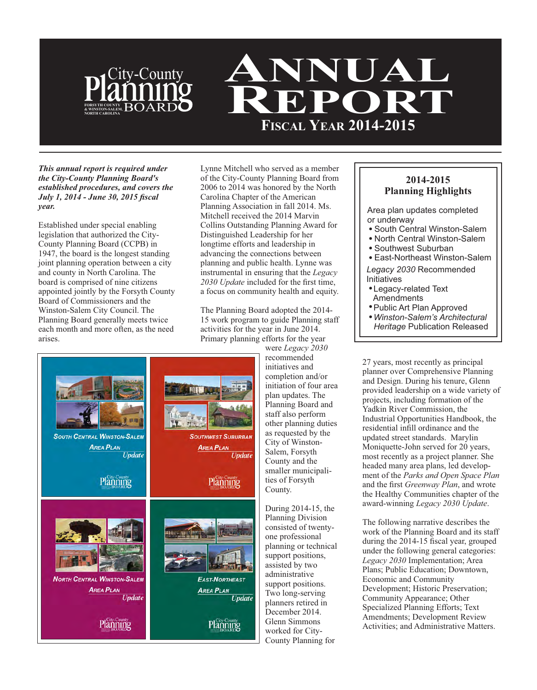

#### *This annual report is required under the City-County Planning Board's established procedures, and covers the July 1, 2014 - June 30, 2015 fiscal year.*

**NORTH CAROLINA FORSYTH COUNTY**

ity-County

**FORSYTH COUNTY, BOARD** 

Established under special enabling legislation that authorized the City-County Planning Board (CCPB) in 1947, the board is the longest standing joint planning operation between a city and county in North Carolina. The board is comprised of nine citizens appointed jointly by the Forsyth County Board of Commissioners and the Winston-Salem City Council. The Planning Board generally meets twice each month and more often, as the need arises.

Lynne Mitchell who served as a member of the City-County Planning Board from 2006 to 2014 was honored by the North Carolina Chapter of the American Planning Association in fall 2014. Ms. Mitchell received the 2014 Marvin Collins Outstanding Planning Award for Distinguished Leadership for her longtime efforts and leadership in advancing the connections between planning and public health. Lynne was instrumental in ensuring that the *Legacy*  2030 Update included for the first time, a focus on community health and equity.

The Planning Board adopted the 2014- 15 work program to guide Planning staff activities for the year in June 2014. Primary planning efforts for the year

were *Legacy 2030* recommended initiatives and completion and/or initiation of four area plan updates. The Planning Board and staff also perform other planning duties as requested by the City of Winston-Salem, Forsyth County and the smaller municipalities of Forsyth County.

During 2014-15, the Planning Division consisted of twentyone professional planning or technical support positions, assisted by two administrative support positions. Two long-serving planners retired in December 2014. Glenn Simmons worked for City-County Planning for

# **2014-2015 Planning Highlights**

Area plan updates completed or underway

- South Central Winston-Salem
- North Central Winston-Salem
- Southwest Suburban
- East-Northeast Winston-Salem

*Legacy 2030* Recommended Initiatives

- Legacy-related Text Amendments
- Public Art Plan Approved
- *Winston-Salem's Architectural Heritage* Publication Released

27 years, most recently as principal planner over Comprehensive Planning and Design. During his tenure, Glenn provided leadership on a wide variety of projects, including formation of the Yadkin River Commission, the Industrial Opportunities Handbook, the residential infill ordinance and the updated street standards. Marylin Moniquette-John served for 20 years, most recently as a project planner. She headed many area plans, led development of the *Parks and Open Space Plan* and the first *Greenway Plan*, and wrote the Healthy Communities chapter of the award-winning *Legacy 2030 Update*.

The following narrative describes the work of the Planning Board and its staff during the 2014-15 fiscal year, grouped under the following general categories: *Legacy 2030* Implementation; Area Plans; Public Education; Downtown, Economic and Community Development; Historic Preservation; Community Appearance; Other Specialized Planning Efforts; Text Amendments; Development Review Activities; and Administrative Matters.

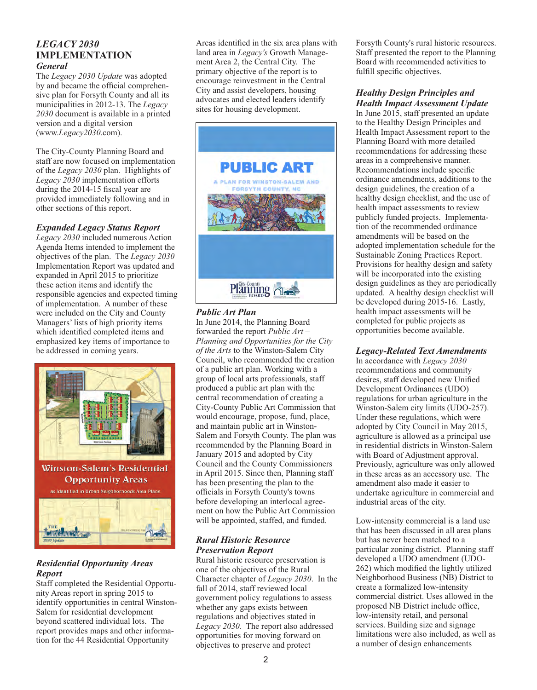### *LEGACY 2030*  **IMPLEMENTATION** *General*

The *Legacy 2030 Update* was adopted by and became the official comprehensive plan for Forsyth County and all its municipalities in 2012-13. The *Legacy 2030* document is available in a printed version and a digital version (www.*Legacy2030*.com).

The City-County Planning Board and staff are now focused on implementation of the *Legacy 2030* plan. Highlights of *Legacy 2030* implementation efforts during the 2014-15 fiscal year are provided immediately following and in other sections of this report.

#### *Expanded Legacy Status Report*

*Legacy 2030* included numerous Action Agenda Items intended to implement the objectives of the plan. The *Legacy 2030*  Implementation Report was updated and expanded in April 2015 to prioritize these action items and identify the responsible agencies and expected timing of implementation. A number of these were included on the City and County Managers' lists of high priority items which identified completed items and emphasized key items of importance to be addressed in coming years.





### *Residential Opportunity Areas Report*

Staff completed the Residential Opportunity Areas report in spring 2015 to identify opportunities in central Winston-Salem for residential development beyond scattered individual lots. The report provides maps and other information for the 44 Residential Opportunity

Areas identified in the six area plans with land area in *Legacy's* Growth Management Area 2, the Central City. The primary objective of the report is to encourage reinvestment in the Central City and assist developers, housing advocates and elected leaders identify sites for housing development.



#### *Public Art Plan*

In June 2014, the Planning Board forwarded the report *Public Art – Planning and Opportunities for the City of the Arts* to the Winston-Salem City Council, who recommended the creation of a public art plan. Working with a group of local arts professionals, staff produced a public art plan with the central recommendation of creating a City-County Public Art Commission that would encourage, propose, fund, place, and maintain public art in Winston-Salem and Forsyth County. The plan was recommended by the Planning Board in January 2015 and adopted by City Council and the County Commissioners in April 2015. Since then, Planning staff has been presenting the plan to the officials in Forsyth County's towns before developing an interlocal agreement on how the Public Art Commission will be appointed, staffed, and funded.

### *Rural Historic Resource Preservation Report*

Rural historic resource preservation is one of the objectives of the Rural Character chapter of *Legacy 2030*. In the fall of 2014, staff reviewed local government policy regulations to assess whether any gaps exists between regulations and objectives stated in *Legacy 2030*. The report also addressed opportunities for moving forward on objectives to preserve and protect

Forsyth County's rural historic resources. Staff presented the report to the Planning Board with recommended activities to fulfill specific objectives.

#### *Healthy Design Principles and Health Impact Assessment Update*

In June 2015, staff presented an update to the Healthy Design Principles and Health Impact Assessment report to the Planning Board with more detailed recommendations for addressing these areas in a comprehensive manner. Recommendations include specific ordinance amendments, additions to the design guidelines, the creation of a healthy design checklist, and the use of health impact assessments to review publicly funded projects. Implementation of the recommended ordinance amendments will be based on the adopted implementation schedule for the Sustainable Zoning Practices Report. Provisions for healthy design and safety will be incorporated into the existing design guidelines as they are periodically updated. A healthy design checklist will be developed during 2015-16. Lastly, health impact assessments will be completed for public projects as opportunities become available.

#### *Legacy-Related Text Amendments*

In accordance with *Legacy 2030* recommendations and community desires, staff developed new Unified Development Ordinances (UDO) regulations for urban agriculture in the Winston-Salem city limits (UDO-257). Under these regulations, which were adopted by City Council in May 2015, agriculture is allowed as a principal use in residential districts in Winston-Salem with Board of Adjustment approval. Previously, agriculture was only allowed in these areas as an accessory use. The amendment also made it easier to undertake agriculture in commercial and industrial areas of the city.

Low-intensity commercial is a land use that has been discussed in all area plans but has never been matched to a particular zoning district. Planning staff developed a UDO amendment (UDO-262) which modified the lightly utilized Neighborhood Business (NB) District to create a formalized low-intensity commercial district. Uses allowed in the proposed NB District include office, low-intensity retail, and personal services. Building size and signage limitations were also included, as well as a number of design enhancements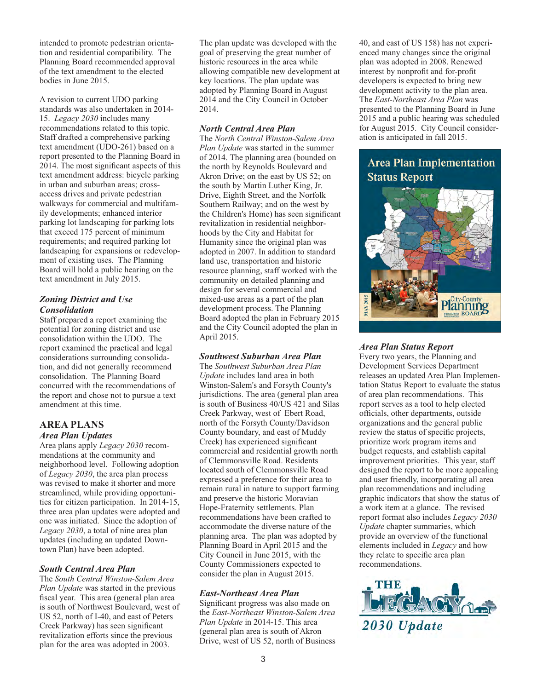intended to promote pedestrian orientation and residential compatibility. The Planning Board recommended approval of the text amendment to the elected bodies in June 2015.

A revision to current UDO parking standards was also undertaken in 2014- 15. *Legacy 2030* includes many recommendations related to this topic. Staff drafted a comprehensive parking text amendment (UDO-261) based on a report presented to the Planning Board in 2014. The most significant aspects of this text amendment address: bicycle parking in urban and suburban areas; crossaccess drives and private pedestrian walkways for commercial and multifamily developments; enhanced interior parking lot landscaping for parking lots that exceed 175 percent of minimum requirements; and required parking lot landscaping for expansions or redevelopment of existing uses. The Planning Board will hold a public hearing on the text amendment in July 2015.

# *Zoning District and Use Consolidation*

Staff prepared a report examining the potential for zoning district and use consolidation within the UDO. The report examined the practical and legal considerations surrounding consolidation, and did not generally recommend consolidation. The Planning Board concurred with the recommendations of the report and chose not to pursue a text amendment at this time.

# **AREA PLANS** *Area Plan Updates*

Area plans apply *Legacy 2030* recommendations at the community and neighborhood level. Following adoption of *Legacy 2030*, the area plan process was revised to make it shorter and more streamlined, while providing opportunities for citizen participation. In 2014-15, three area plan updates were adopted and one was initiated. Since the adoption of *Legacy 2030*, a total of nine area plan updates (including an updated Downtown Plan) have been adopted.

# *South Central Area Plan*

The *South Central Winston-Salem Area Plan Update* was started in the previous fiscal year. This area (general plan area is south of Northwest Boulevard, west of US 52, north of I-40, and east of Peters Creek Parkway) has seen significant revitalization efforts since the previous plan for the area was adopted in 2003.

The plan update was developed with the goal of preserving the great number of historic resources in the area while allowing compatible new development at key locations. The plan update was adopted by Planning Board in August 2014 and the City Council in October 2014.

# *North Central Area Plan*

The *North Central Winston-Salem Area Plan Update* was started in the summer of 2014. The planning area (bounded on the north by Reynolds Boulevard and Akron Drive; on the east by US 52; on the south by Martin Luther King, Jr. Drive, Eighth Street, and the Norfolk Southern Railway; and on the west by the Children's Home) has seen signicant revitalization in residential neighborhoods by the City and Habitat for Humanity since the original plan was adopted in 2007. In addition to standard land use, transportation and historic resource planning, staff worked with the community on detailed planning and design for several commercial and mixed-use areas as a part of the plan development process. The Planning Board adopted the plan in February 2015 and the City Council adopted the plan in April 2015.

# *Southwest Suburban Area Plan*

The *Southwest Suburban Area Plan Update* includes land area in both Winston-Salem's and Forsyth County's jurisdictions. The area (general plan area is south of Business 40/US 421 and Silas Creek Parkway, west of Ebert Road, north of the Forsyth County/Davidson County boundary, and east of Muddy Creek) has experienced significant commercial and residential growth north of Clemmonsville Road. Residents located south of Clemmonsville Road expressed a preference for their area to remain rural in nature to support farming and preserve the historic Moravian Hope-Fraternity settlements. Plan recommendations have been crafted to accommodate the diverse nature of the planning area. The plan was adopted by Planning Board in April 2015 and the City Council in June 2015, with the County Commissioners expected to consider the plan in August 2015.

# *East-Northeast Area Plan*

Significant progress was also made on the *East-Northeast Winston-Salem Area Plan Update* in 2014-15. This area (general plan area is south of Akron Drive, west of US 52, north of Business

40, and east of US 158) has not experienced many changes since the original plan was adopted in 2008. Renewed interest by nonprofit and for-profit developers is expected to bring new development activity to the plan area. The *East-Northeast Area Plan* was presented to the Planning Board in June 2015 and a public hearing was scheduled for August 2015. City Council consideration is anticipated in fall 2015.

# **Area Plan Implementation Status Report**



# *Area Plan Status Report*

Every two years, the Planning and Development Services Department releases an updated Area Plan Implementation Status Report to evaluate the status of area plan recommendations. This report serves as a tool to help elected officials, other departments, outside organizations and the general public review the status of specific projects, prioritize work program items and budget requests, and establish capital improvement priorities. This year, staff designed the report to be more appealing and user friendly, incorporating all area plan recommendations and including graphic indicators that show the status of a work item at a glance. The revised report format also includes *Legacy 2030 Update* chapter summaries, which provide an overview of the functional elements included in *Legacy* and how they relate to specific area plan recommendations.

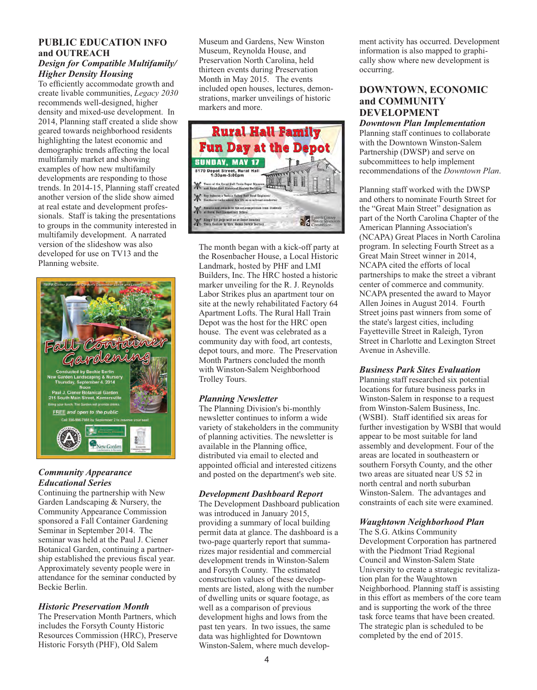# **PUBLIC EDUCATION INFO and OUTREACH** *Design for Compatible Multifamily/*

*Higher Density Housing* To efficiently accommodate growth and create livable communities, *Legacy 2030* recommends well-designed, higher density and mixed-use development. In 2014, Planning staff created a slide show geared towards neighborhood residents highlighting the latest economic and demographic trends affecting the local multifamily market and showing examples of how new multifamily developments are responding to those trends. In 2014-15, Planning staff created another version of the slide show aimed at real estate and development profes-

sionals. Staff is taking the presentations to groups in the community interested in multifamily development. A narrated version of the slideshow was also developed for use on TV13 and the Planning website.



# *Community Appearance Educational Series*

Continuing the partnership with New Garden Landscaping & Nursery, the Community Appearance Commission sponsored a Fall Container Gardening Seminar in September 2014. The seminar was held at the Paul J. Ciener Botanical Garden, continuing a partnership established the previous fiscal year. Approximately seventy people were in attendance for the seminar conducted by Beckie Berlin.

# *Historic Preservation Month*

The Preservation Month Partners, which includes the Forsyth County Historic Resources Commission (HRC), Preserve Historic Forsyth (PHF), Old Salem

Museum and Gardens, New Winston Museum, Reynolda House, and Preservation North Carolina, held thirteen events during Preservation Month in May 2015. The events included open houses, lectures, demonstrations, marker unveilings of historic markers and more.



The month began with a kick-off party at the Rosenbacher House, a Local Historic Landmark, hosted by PHF and LMI Builders, Inc. The HRC hosted a historic marker unveiling for the R. J. Reynolds Labor Strikes plus an apartment tour on site at the newly rehabilitated Factory 64 Apartment Lofts. The Rural Hall Train Depot was the host for the HRC open house. The event was celebrated as a community day with food, art contests, depot tours, and more. The Preservation Month Partners concluded the month with Winston-Salem Neighborhood Trolley Tours.

#### *Planning Newsletter*

The Planning Division's bi-monthly newsletter continues to inform a wide variety of stakeholders in the community of planning activities. The newsletter is available in the Planning office. distributed via email to elected and appointed official and interested citizens and posted on the department's web site.

#### *Development Dashboard Report*

The Development Dashboard publication was introduced in January 2015, providing a summary of local building permit data at glance. The dashboard is a two-page quarterly report that summarizes major residential and commercial development trends in Winston-Salem and Forsyth County. The estimated construction values of these developments are listed, along with the number of dwelling units or square footage, as well as a comparison of previous development highs and lows from the past ten years. In two issues, the same data was highlighted for Downtown Winston-Salem, where much develop-

ment activity has occurred. Development information is also mapped to graphically show where new development is occurring.

# **DOWNTOWN, ECONOMIC and COMMUNITY DEVELOPMENT**

*Downtown Plan Implementation* Planning staff continues to collaborate with the Downtown Winston-Salem Partnership (DWSP) and serve on subcommittees to help implement recommendations of the *Downtown Plan*.

Planning staff worked with the DWSP and others to nominate Fourth Street for the "Great Main Street" designation as part of the North Carolina Chapter of the American Planning Association's (NCAPA) Great Places in North Carolina program. In selecting Fourth Street as a Great Main Street winner in 2014, NCAPA cited the efforts of local partnerships to make the street a vibrant center of commerce and community. NCAPA presented the award to Mayor Allen Joines in August 2014. Fourth Street joins past winners from some of the state's largest cities, including Fayetteville Street in Raleigh, Tyron Street in Charlotte and Lexington Street Avenue in Asheville.

#### *Business Park Sites Evaluation*

Planning staff researched six potential locations for future business parks in Winston-Salem in response to a request from Winston-Salem Business, Inc. (WSBI). Staff identified six areas for further investigation by WSBI that would appear to be most suitable for land assembly and development. Four of the areas are located in southeastern or southern Forsyth County, and the other two areas are situated near US 52 in north central and north suburban Winston-Salem. The advantages and constraints of each site were examined.

#### *Waughtown Neighborhood Plan*

The S.G. Atkins Community Development Corporation has partnered with the Piedmont Triad Regional Council and Winston-Salem State University to create a strategic revitalization plan for the Waughtown Neighborhood. Planning staff is assisting in this effort as members of the core team and is supporting the work of the three task force teams that have been created. The strategic plan is scheduled to be completed by the end of 2015.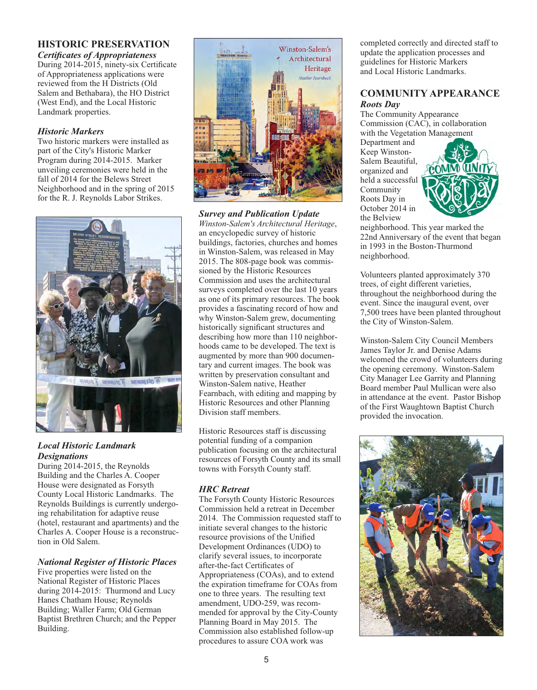# **HISTORIC PRESERVATION**

*Certicates of Appropriateness* During 2014-2015, ninety-six Certificate of Appropriateness applications were reviewed from the H Districts (Old Salem and Bethabara), the HO District (West End), and the Local Historic Landmark properties.

#### *Historic Markers*

Two historic markers were installed as part of the City's Historic Marker Program during 2014-2015. Marker unveiling ceremonies were held in the fall of 2014 for the Belews Street Neighborhood and in the spring of 2015 for the R. J. Reynolds Labor Strikes.



#### *Local Historic Landmark Designations*

During 2014-2015, the Reynolds Building and the Charles A. Cooper House were designated as Forsyth County Local Historic Landmarks. The Reynolds Buildings is currently undergoing rehabilitation for adaptive reuse (hotel, restaurant and apartments) and the Charles A. Cooper House is a reconstruction in Old Salem.

#### *National Register of Historic Places*

Five properties were listed on the National Register of Historic Places during 2014-2015: Thurmond and Lucy Hanes Chatham House; Reynolds Building; Waller Farm; Old German Baptist Brethren Church; and the Pepper Building.



#### *Survey and Publication Update Winston-Salem's Architectural Heritage*, an encyclopedic survey of historic buildings, factories, churches and homes in Winston-Salem, was released in May 2015. The 808-page book was commissioned by the Historic Resources Commission and uses the architectural surveys completed over the last 10 years as one of its primary resources. The book provides a fascinating record of how and why Winston-Salem grew, documenting historically significant structures and describing how more than 110 neighborhoods came to be developed. The text is augmented by more than 900 documentary and current images. The book was written by preservation consultant and Winston-Salem native, Heather Fearnbach, with editing and mapping by Historic Resources and other Planning Division staff members.

Historic Resources staff is discussing potential funding of a companion publication focusing on the architectural resources of Forsyth County and its small towns with Forsyth County staff.

#### *HRC Retreat*

The Forsyth County Historic Resources Commission held a retreat in December 2014. The Commission requested staff to initiate several changes to the historic resource provisions of the Unified Development Ordinances (UDO) to clarify several issues, to incorporate after-the-fact Certificates of Appropriateness (COAs), and to extend the expiration timeframe for COAs from one to three years. The resulting text amendment, UDO-259, was recommended for approval by the City-County Planning Board in May 2015. The Commission also established follow-up procedures to assure COA work was

completed correctly and directed staff to update the application processes and guidelines for Historic Markers and Local Historic Landmarks.

### **COMMUNITY APPEARANCE** *Roots Day*

The Community Appearance Commission (CAC), in collaboration with the Vegetation Management Department and Keep Winston-Salem Beautiful, organized and held a successful Community Roots Day in October 2014 in

the Belview



neighborhood. This year marked the 22nd Anniversary of the event that began in 1993 in the Boston-Thurmond neighborhood.

Volunteers planted approximately 370 trees, of eight different varieties, throughout the neighborhood during the event. Since the inaugural event, over 7,500 trees have been planted throughout the City of Winston-Salem.

Winston-Salem City Council Members James Taylor Jr. and Denise Adams welcomed the crowd of volunteers during the opening ceremony. Winston-Salem City Manager Lee Garrity and Planning Board member Paul Mullican were also in attendance at the event. Pastor Bishop of the First Waughtown Baptist Church provided the invocation.

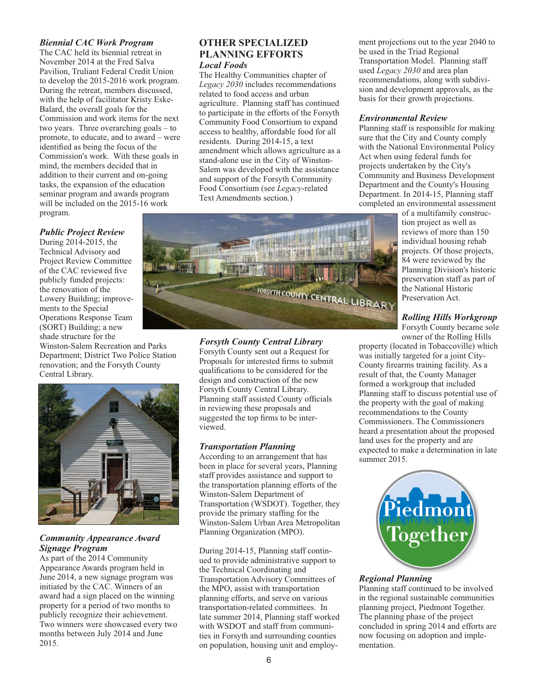#### *Biennial CAC Work Program*

The CAC held its biennial retreat in November 2014 at the Fred Salva Pavilion, Truliant Federal Credit Union to develop the 2015-2016 work program. During the retreat, members discussed, with the help of facilitator Kristy Eske-Balard, the overall goals for the Commission and work items for the next two years. Three overarching goals – to promote, to educate, and to award – were identified as being the focus of the Commission's work. With these goals in mind, the members decided that in addition to their current and on-going tasks, the expansion of the education seminar program and awards program will be included on the 2015-16 work program.

# *Public Project Review*

During 2014-2015, the Technical Advisory and Project Review Committee of the CAC reviewed five publicly funded projects: the renovation of the Lowery Building; improvements to the Special Operations Response Team (SORT) Building; a new shade structure for the

Winston-Salem Recreation and Parks Department; District Two Police Station renovation; and the Forsyth County Central Library.



### *Community Appearance Award Signage Program*

As part of the 2014 Community Appearance Awards program held in June 2014, a new signage program was initiated by the CAC. Winners of an award had a sign placed on the winning property for a period of two months to publicly recognize their achievement. Two winners were showcased every two months between July 2014 and June 2015.

### **OTHER SPECIALIZED PLANNING EFFORTS** *Local Foods*

The Healthy Communities chapter of *Legacy 2030* includes recommendations related to food access and urban agriculture. Planning staff has continued to participate in the efforts of the Forsyth Community Food Consortium to expand access to healthy, affordable food for all residents. During 2014-15, a text amendment which allows agriculture as a stand-alone use in the City of Winston-Salem was developed with the assistance and support of the Forsyth Community Food Consortium (see *Legacy*-related Text Amendments section.)

ment projections out to the year 2040 to be used in the Triad Regional Transportation Model. Planning staff used *Legacy 2030* and area plan recommendations, along with subdivision and development approvals, as the basis for their growth projections.

#### *Environmental Review*

Planning staff is responsible for making sure that the City and County comply with the National Environmental Policy Act when using federal funds for projects undertaken by the City's Community and Business Development Department and the County's Housing Department. In 2014-15, Planning staff completed an environmental assessment

> of a multifamily construction project as well as reviews of more than 150 individual housing rehab projects. Of those projects, 84 were reviewed by the Planning Division's historic preservation staff as part of the National Historic Preservation Act.

*Rolling Hills Workgroup*

Forsyth County became sole owner of the Rolling Hills

property (located in Tobaccoville) which was initially targeted for a joint City-County firearms training facility. As a result of that, the County Manager formed a workgroup that included Planning staff to discuss potential use of the property with the goal of making recommendations to the County Commissioners. The Commissioners heard a presentation about the proposed land uses for the property and are expected to make a determination in late summer 2015.



# *Regional Planning*

Planning staff continued to be involved in the regional sustainable communities planning project, Piedmont Together. The planning phase of the project concluded in spring 2014 and efforts are now focusing on adoption and implementation.



*Forsyth County Central Library* Forsyth County sent out a Request for Proposals for interested firms to submit qualifications to be considered for the design and construction of the new Forsyth County Central Library. Planning staff assisted County officials in reviewing these proposals and suggested the top firms to be inter-

*Transportation Planning*

Winston-Salem Department of

Planning Organization (MPO).

the Technical Coordinating and

According to an arrangement that has been in place for several years, Planning staff provides assistance and support to the transportation planning efforts of the

Transportation (WSDOT). Together, they provide the primary staffing for the Winston-Salem Urban Area Metropolitan

During 2014-15, Planning staff continued to provide administrative support to

Transportation Advisory Committees of the MPO, assist with transportation planning efforts, and serve on various transportation-related committees. In late summer 2014, Planning staff worked with WSDOT and staff from communities in Forsyth and surrounding counties

viewed.

# 6 on population, housing unit and employ-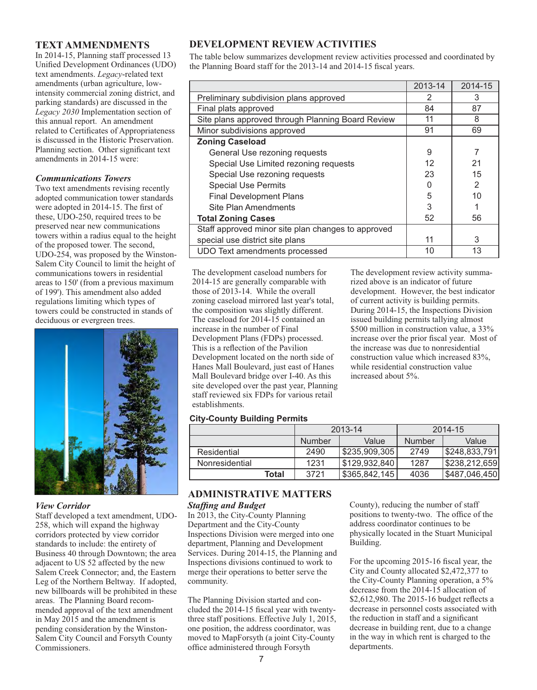# **TEXT AMMENDMENTS**

In 2014-15, Planning staff processed 13 Unified Development Ordinances (UDO) text amendments. *Legacy*-related text amendments (urban agriculture, lowintensity commercial zoning district, and parking standards) are discussed in the *Legacy 2030* Implementation section of this annual report. An amendment related to Certificates of Appropriateness is discussed in the Historic Preservation. Planning section. Other significant text amendments in 2014-15 were:

### *Communications Towers*

Two text amendments revising recently adopted communication tower standards were adopted in 2014-15. The first of these, UDO-250, required trees to be preserved near new communications towers within a radius equal to the height of the proposed tower. The second, UDO-254, was proposed by the Winston-Salem City Council to limit the height of communications towers in residential areas to 150' (from a previous maximum of 199'). This amendment also added regulations limiting which types of towers could be constructed in stands of deciduous or evergreen trees.



#### *View Corridor*

Staff developed a text amendment, UDO-258, which will expand the highway corridors protected by view corridor standards to include: the entirety of Business 40 through Downtown; the area adjacent to US 52 affected by the new Salem Creek Connector; and, the Eastern Leg of the Northern Beltway. If adopted, new billboards will be prohibited in these areas. The Planning Board recommended approval of the text amendment in May 2015 and the amendment is pending consideration by the Winston-Salem City Council and Forsyth County Commissioners.

# **DEVELOPMENT REVIEW ACTIVITIES**

The table below summarizes development review activities processed and coordinated by the Planning Board staff for the 2013-14 and 2014-15 fiscal years.

|                                                    | 2013-14 | 2014-15 |
|----------------------------------------------------|---------|---------|
| Preliminary subdivision plans approved             | 2       | 3       |
| Final plats approved                               | 84      | 87      |
| Site plans approved through Planning Board Review  | 11      | 8       |
| Minor subdivisions approved                        | 91      | 69      |
| <b>Zoning Caseload</b>                             |         |         |
| General Use rezoning requests                      | 9       |         |
| Special Use Limited rezoning requests              | 12      | 21      |
| Special Use rezoning requests                      | 23      | 15      |
| <b>Special Use Permits</b>                         | ∩       | 2       |
| <b>Final Development Plans</b>                     | 5       | 10      |
| Site Plan Amendments                               | 3       |         |
| <b>Total Zoning Cases</b>                          | 52      | 56      |
| Staff approved minor site plan changes to approved |         |         |
| special use district site plans                    | 11      | 3       |
| UDO Text amendments processed                      | 10      | 13      |

The development caseload numbers for 2014-15 are generally comparable with those of 2013-14. While the overall zoning caseload mirrored last year's total, the composition was slightly different. The caseload for 2014-15 contained an increase in the number of Final Development Plans (FDPs) processed. This is a reflection of the Pavilion Development located on the north side of Hanes Mall Boulevard, just east of Hanes Mall Boulevard bridge over I-40. As this site developed over the past year, Planning staff reviewed six FDPs for various retail establishments.

The development review activity summarized above is an indicator of future development. However, the best indicator of current activity is building permits. During 2014-15, the Inspections Division issued building permits tallying almost \$500 million in construction value, a 33% increase over the prior fiscal year. Most of the increase was due to nonresidential construction value which increased 83%, while residential construction value increased about 5%.

#### **City-County Building Permits**

|                |       | 2013-14 |                             | 2014-15 |               |
|----------------|-------|---------|-----------------------------|---------|---------------|
|                |       | Number  | Value                       | Number  | Value         |
| Residential    |       | 2490    | \$235,909,305               | 2749    | \$248,833,791 |
| Nonresidential |       | 1231    | \$129,932,840               | 1287    | \$238,212,659 |
|                | Total | 3721    | $\frac{1}{3}$ \$365,842,145 | 4036    | \$487,046,450 |

# *Stafng and Budget*  **ADMINISTRATIVE MATTERS**

In 2013, the City-County Planning Department and the City-County Inspections Division were merged into one department, Planning and Development Services. During 2014-15, the Planning and Inspections divisions continued to work to merge their operations to better serve the community.

The Planning Division started and concluded the 2014-15 fiscal year with twentythree staff positions. Effective July 1, 2015, one position, the address coordinator, was moved to MapForsyth (a joint City-County office administered through Forsyth

County), reducing the number of staff positions to twenty-two. The office of the address coordinator continues to be physically located in the Stuart Municipal Building.

For the upcoming 2015-16 fiscal year, the City and County allocated \$2,472,377 to the City-County Planning operation, a 5% decrease from the 2014-15 allocation of \$2,612,980. The 2015-16 budget reflects a decrease in personnel costs associated with the reduction in staff and a significant decrease in building rent, due to a change in the way in which rent is charged to the departments.